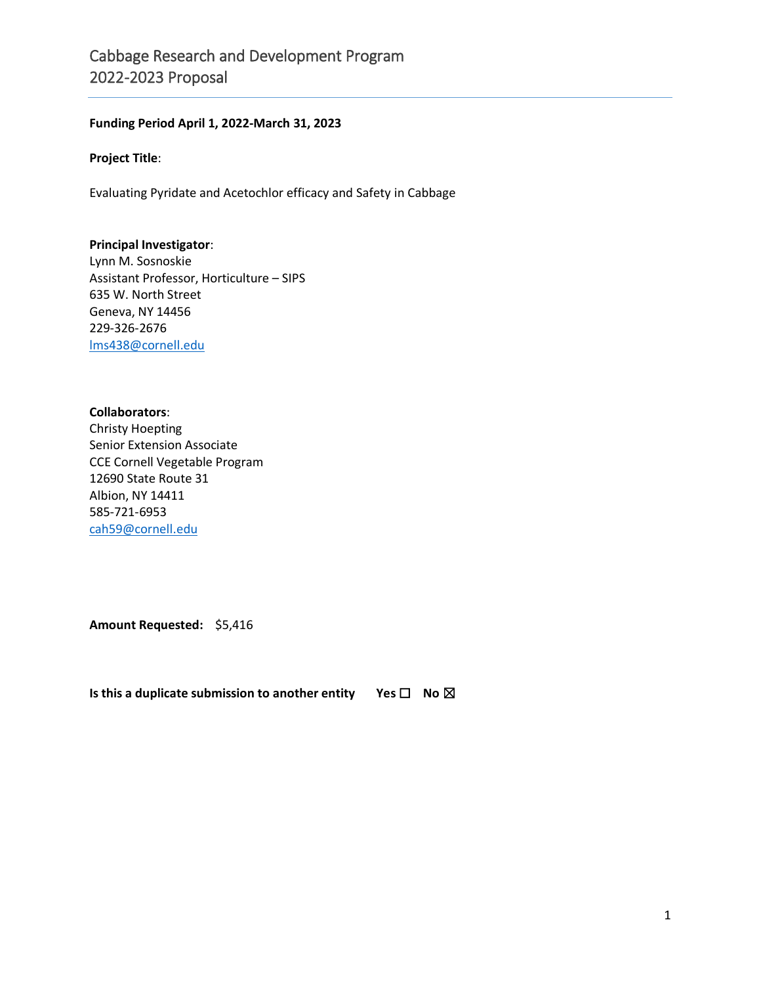## **Funding Period April 1, 2022-March 31, 2023**

#### **Project Title**:

Evaluating Pyridate and Acetochlor efficacy and Safety in Cabbage

#### **Principal Investigator**:

Lynn M. Sosnoskie Assistant Professor, Horticulture – SIPS 635 W. North Street Geneva, NY 14456 229-326-2676 [lms438@cornell.edu](mailto:lms438@cornell.edu)

#### **Collaborators**:

Christy Hoepting Senior Extension Associate CCE Cornell Vegetable Program 12690 State Route 31 Albion, NY 14411 585-721-6953 [cah59@cornell.edu](mailto:cah59@cornell.edu)

**Amount Requested:** \$5,416

**Is this a duplicate submission to another entity Yes □ No ⊠**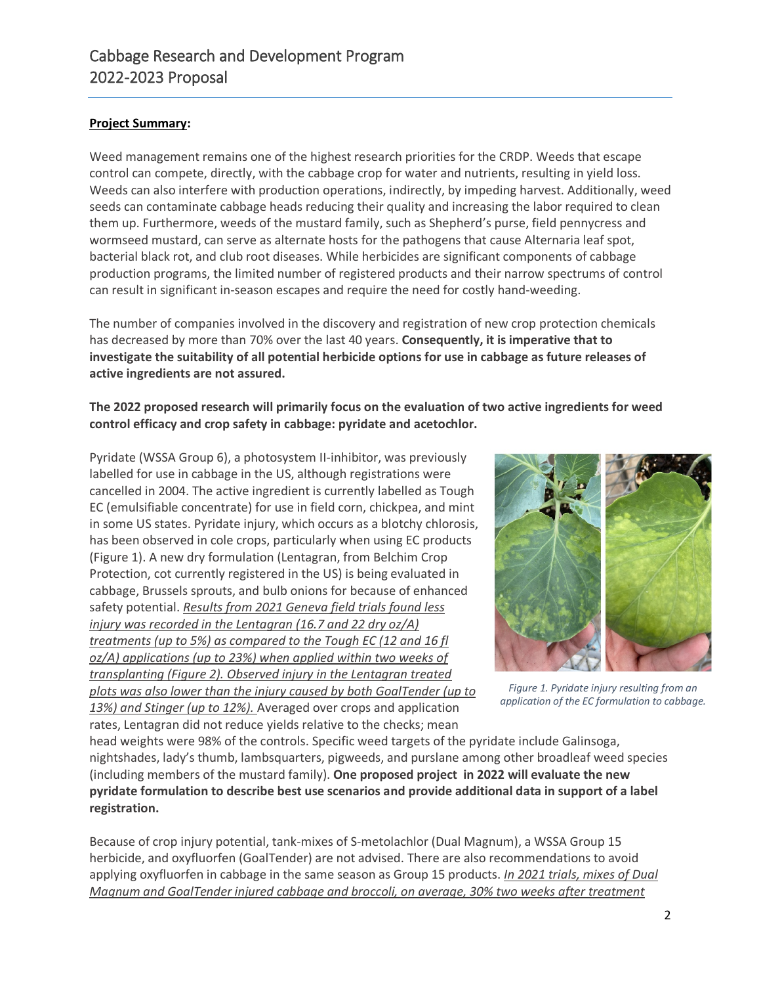# **Project Summary:**

Weed management remains one of the highest research priorities for the CRDP. Weeds that escape control can compete, directly, with the cabbage crop for water and nutrients, resulting in yield loss. Weeds can also interfere with production operations, indirectly, by impeding harvest. Additionally, weed seeds can contaminate cabbage heads reducing their quality and increasing the labor required to clean them up. Furthermore, weeds of the mustard family, such as Shepherd's purse, field pennycress and wormseed mustard, can serve as alternate hosts for the pathogens that cause Alternaria leaf spot, bacterial black rot, and club root diseases. While herbicides are significant components of cabbage production programs, the limited number of registered products and their narrow spectrums of control can result in significant in-season escapes and require the need for costly hand-weeding.

The number of companies involved in the discovery and registration of new crop protection chemicals has decreased by more than 70% over the last 40 years. **Consequently, it is imperative that to investigate the suitability of all potential herbicide options for use in cabbage as future releases of active ingredients are not assured.**

# **The 2022 proposed research will primarily focus on the evaluation of two active ingredients for weed control efficacy and crop safety in cabbage: pyridate and acetochlor.**

Pyridate (WSSA Group 6), a photosystem II-inhibitor, was previously labelled for use in cabbage in the US, although registrations were cancelled in 2004. The active ingredient is currently labelled as Tough EC (emulsifiable concentrate) for use in field corn, chickpea, and mint in some US states. Pyridate injury, which occurs as a blotchy chlorosis, has been observed in cole crops, particularly when using EC products (Figure 1). A new dry formulation (Lentagran, from Belchim Crop Protection, cot currently registered in the US) is being evaluated in cabbage, Brussels sprouts, and bulb onions for because of enhanced safety potential. *Results from 2021 Geneva field trials found less injury was recorded in the Lentagran (16.7 and 22 dry oz/A) treatments (up to 5%) as compared to the Tough EC (12 and 16 fl oz/A) applications (up to 23%) when applied within two weeks of transplanting (Figure 2). Observed injury in the Lentagran treated plots was also lower than the injury caused by both GoalTender (up to 13%) and Stinger (up to 12%).* Averaged over crops and application rates, Lentagran did not reduce yields relative to the checks; mean



*Figure 1. Pyridate injury resulting from an application of the EC formulation to cabbage.*

head weights were 98% of the controls. Specific weed targets of the pyridate include Galinsoga, nightshades, lady's thumb, lambsquarters, pigweeds, and purslane among other broadleaf weed species (including members of the mustard family). **One proposed project in 2022 will evaluate the new pyridate formulation to describe best use scenarios and provide additional data in support of a label registration.**

Because of crop injury potential, tank-mixes of S-metolachlor (Dual Magnum), a WSSA Group 15 herbicide, and oxyfluorfen (GoalTender) are not advised. There are also recommendations to avoid applying oxyfluorfen in cabbage in the same season as Group 15 products. *In 2021 trials, mixes of Dual Magnum and GoalTender injured cabbage and broccoli, on average, 30% two weeks after treatment*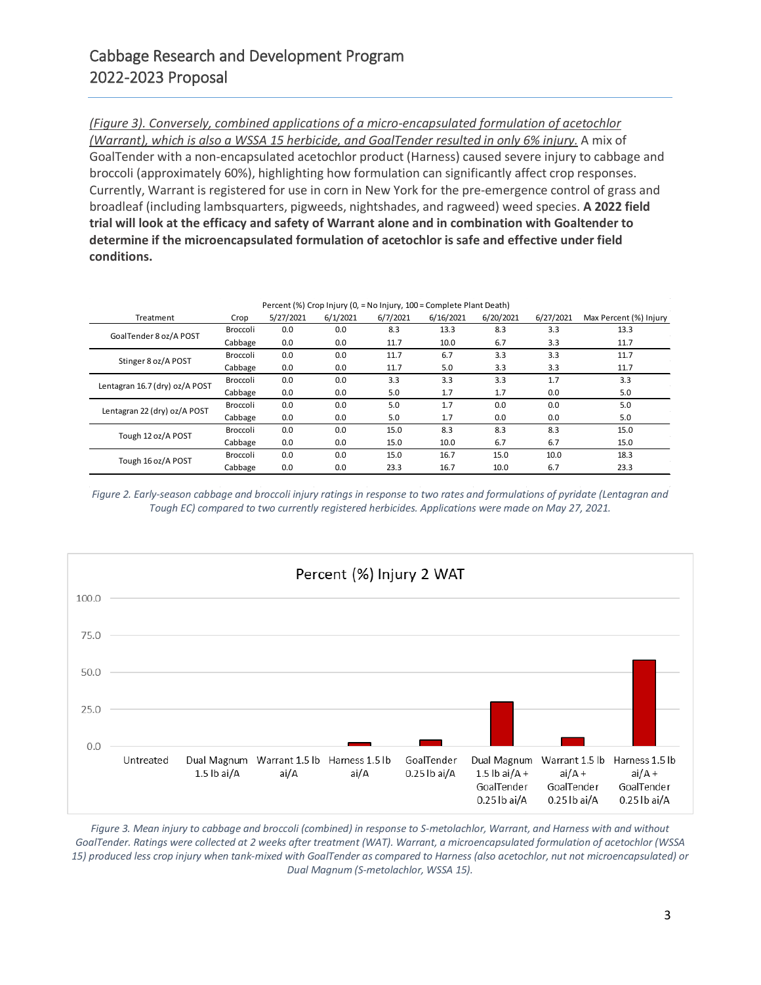### *(Figure 3). Conversely, combined applications of a micro-encapsulated formulation of acetochlor*

*(Warrant), which is also a WSSA 15 herbicide, and GoalTender resulted in only 6% injury.* A mix of GoalTender with a non-encapsulated acetochlor product (Harness) caused severe injury to cabbage and broccoli (approximately 60%), highlighting how formulation can significantly affect crop responses. Currently, Warrant is registered for use in corn in New York for the pre-emergence control of grass and broadleaf (including lambsquarters, pigweeds, nightshades, and ragweed) weed species. **A 2022 field trial will look at the efficacy and safety of Warrant alone and in combination with Goaltender to determine if the microencapsulated formulation of acetochlor is safe and effective under field conditions.**

| Percent (%) Crop Injury (0, = No Injury, 100 = Complete Plant Death) |                 |           |          |          |           |           |           |                        |  |  |
|----------------------------------------------------------------------|-----------------|-----------|----------|----------|-----------|-----------|-----------|------------------------|--|--|
| Treatment                                                            | Crop            | 5/27/2021 | 6/1/2021 | 6/7/2021 | 6/16/2021 | 6/20/2021 | 6/27/2021 | Max Percent (%) Injury |  |  |
| GoalTender 8 oz/A POST                                               | <b>Broccoli</b> | 0.0       | 0.0      | 8.3      | 13.3      | 8.3       | 3.3       | 13.3                   |  |  |
|                                                                      | Cabbage         | 0.0       | 0.0      | 11.7     | 10.0      | 6.7       | 3.3       | 11.7                   |  |  |
| Stinger 8 oz/A POST                                                  | Broccoli        | 0.0       | 0.0      | 11.7     | 6.7       | 3.3       | 3.3       | 11.7                   |  |  |
|                                                                      | Cabbage         | 0.0       | 0.0      | 11.7     | 5.0       | 3.3       | 3.3       | 11.7                   |  |  |
| Lentagran 16.7 (dry) oz/A POST                                       | Broccoli        | 0.0       | 0.0      | 3.3      | 3.3       | 3.3       | 1.7       | 3.3                    |  |  |
|                                                                      | Cabbage         | 0.0       | 0.0      | 5.0      | 1.7       | 1.7       | 0.0       | 5.0                    |  |  |
| Lentagran 22 (dry) oz/A POST                                         | Broccoli        | 0.0       | 0.0      | 5.0      | 1.7       | 0.0       | 0.0       | 5.0                    |  |  |
|                                                                      | Cabbage         | 0.0       | 0.0      | 5.0      | 1.7       | 0.0       | 0.0       | 5.0                    |  |  |
| Tough 12 oz/A POST                                                   | Broccoli        | 0.0       | 0.0      | 15.0     | 8.3       | 8.3       | 8.3       | 15.0                   |  |  |
|                                                                      | Cabbage         | 0.0       | 0.0      | 15.0     | 10.0      | 6.7       | 6.7       | 15.0                   |  |  |
| Tough 16 oz/A POST                                                   | Broccoli        | 0.0       | 0.0      | 15.0     | 16.7      | 15.0      | 10.0      | 18.3                   |  |  |
|                                                                      | Cabbage         | 0.0       | 0.0      | 23.3     | 16.7      | 10.0      | 6.7       | 23.3                   |  |  |

*Figure 2. Early-season cabbage and broccoli injury ratings in response to two rates and formulations of pyridate (Lentagran and Tough EC) compared to two currently registered herbicides. Applications were made on May 27, 2021.*



*Figure 3. Mean injury to cabbage and broccoli (combined) in response to S-metolachlor, Warrant, and Harness with and without GoalTender. Ratings were collected at 2 weeks after treatment (WAT). Warrant, a microencapsulated formulation of acetochlor (WSSA 15) produced less crop injury when tank-mixed with GoalTender as compared to Harness (also acetochlor, nut not microencapsulated) or Dual Magnum (S-metolachlor, WSSA 15).*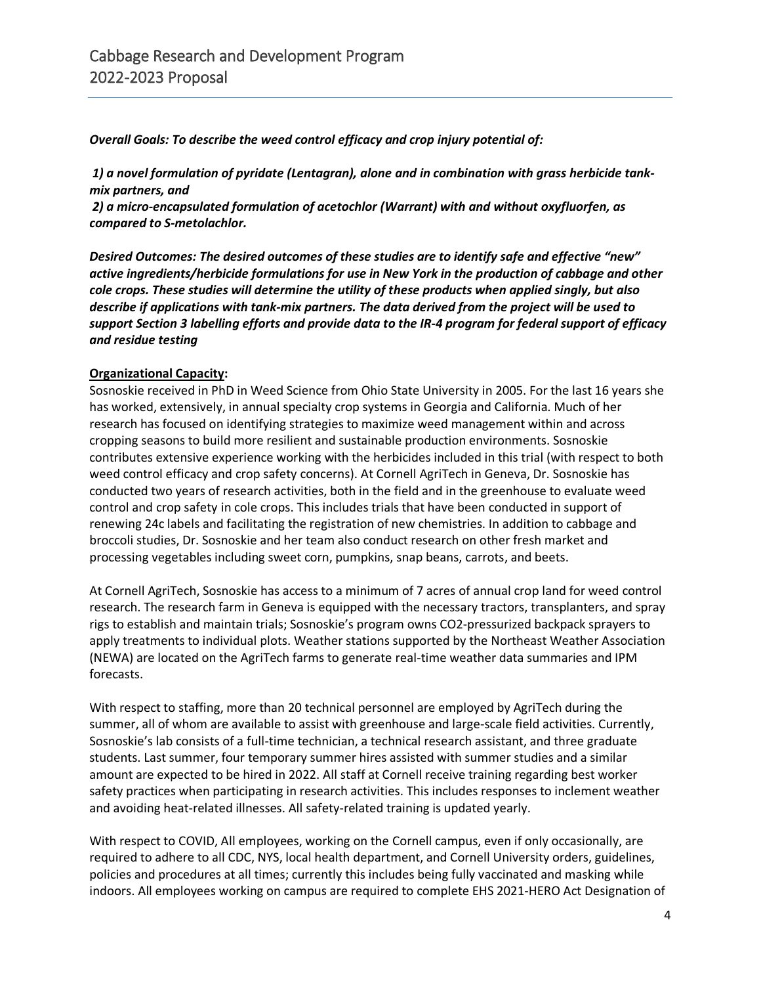*Overall Goals: To describe the weed control efficacy and crop injury potential of:*

*1) a novel formulation of pyridate (Lentagran), alone and in combination with grass herbicide tankmix partners, and*

*2) a micro-encapsulated formulation of acetochlor (Warrant) with and without oxyfluorfen, as compared to S-metolachlor.*

*Desired Outcomes: The desired outcomes of these studies are to identify safe and effective "new" active ingredients/herbicide formulations for use in New York in the production of cabbage and other cole crops. These studies will determine the utility of these products when applied singly, but also describe if applications with tank-mix partners. The data derived from the project will be used to support Section 3 labelling efforts and provide data to the IR-4 program for federal support of efficacy and residue testing*

# **Organizational Capacity:**

Sosnoskie received in PhD in Weed Science from Ohio State University in 2005. For the last 16 years she has worked, extensively, in annual specialty crop systems in Georgia and California. Much of her research has focused on identifying strategies to maximize weed management within and across cropping seasons to build more resilient and sustainable production environments. Sosnoskie contributes extensive experience working with the herbicides included in this trial (with respect to both weed control efficacy and crop safety concerns). At Cornell AgriTech in Geneva, Dr. Sosnoskie has conducted two years of research activities, both in the field and in the greenhouse to evaluate weed control and crop safety in cole crops. This includes trials that have been conducted in support of renewing 24c labels and facilitating the registration of new chemistries. In addition to cabbage and broccoli studies, Dr. Sosnoskie and her team also conduct research on other fresh market and processing vegetables including sweet corn, pumpkins, snap beans, carrots, and beets.

At Cornell AgriTech, Sosnoskie has access to a minimum of 7 acres of annual crop land for weed control research. The research farm in Geneva is equipped with the necessary tractors, transplanters, and spray rigs to establish and maintain trials; Sosnoskie's program owns CO2-pressurized backpack sprayers to apply treatments to individual plots. Weather stations supported by the Northeast Weather Association (NEWA) are located on the AgriTech farms to generate real-time weather data summaries and IPM forecasts.

With respect to staffing, more than 20 technical personnel are employed by AgriTech during the summer, all of whom are available to assist with greenhouse and large-scale field activities. Currently, Sosnoskie's lab consists of a full-time technician, a technical research assistant, and three graduate students. Last summer, four temporary summer hires assisted with summer studies and a similar amount are expected to be hired in 2022. All staff at Cornell receive training regarding best worker safety practices when participating in research activities. This includes responses to inclement weather and avoiding heat-related illnesses. All safety-related training is updated yearly.

With respect to COVID, All employees, working on the Cornell campus, even if only occasionally, are required to adhere to all CDC, NYS, local health department, and Cornell University orders, guidelines, policies and procedures at all times; currently this includes being fully vaccinated and masking while indoors. All employees working on campus are required to complete EHS 2021-HERO Act Designation of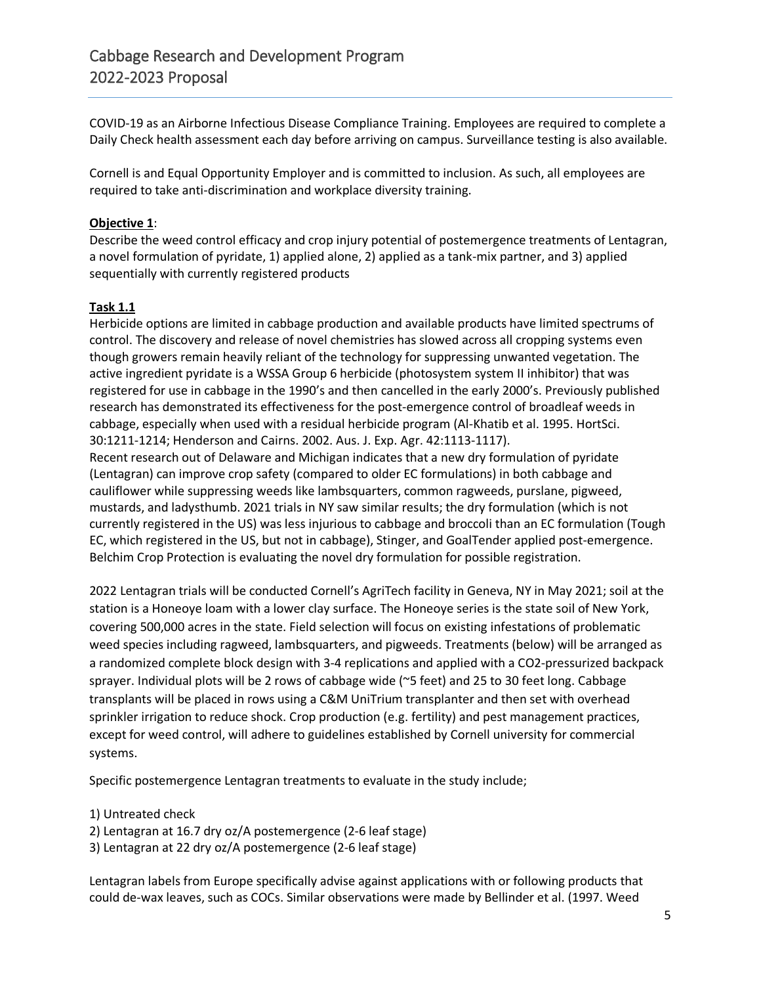COVID-19 as an Airborne Infectious Disease Compliance Training. Employees are required to complete a Daily Check health assessment each day before arriving on campus. Surveillance testing is also available.

Cornell is and Equal Opportunity Employer and is committed to inclusion. As such, all employees are required to take anti-discrimination and workplace diversity training.

## **Objective 1**:

Describe the weed control efficacy and crop injury potential of postemergence treatments of Lentagran, a novel formulation of pyridate, 1) applied alone, 2) applied as a tank-mix partner, and 3) applied sequentially with currently registered products

## **Task 1.1**

Herbicide options are limited in cabbage production and available products have limited spectrums of control. The discovery and release of novel chemistries has slowed across all cropping systems even though growers remain heavily reliant of the technology for suppressing unwanted vegetation. The active ingredient pyridate is a WSSA Group 6 herbicide (photosystem system II inhibitor) that was registered for use in cabbage in the 1990's and then cancelled in the early 2000's. Previously published research has demonstrated its effectiveness for the post-emergence control of broadleaf weeds in cabbage, especially when used with a residual herbicide program (Al-Khatib et al. 1995. HortSci. 30:1211-1214; Henderson and Cairns. 2002. Aus. J. Exp. Agr. 42:1113-1117).

Recent research out of Delaware and Michigan indicates that a new dry formulation of pyridate (Lentagran) can improve crop safety (compared to older EC formulations) in both cabbage and cauliflower while suppressing weeds like lambsquarters, common ragweeds, purslane, pigweed, mustards, and ladysthumb. 2021 trials in NY saw similar results; the dry formulation (which is not currently registered in the US) was less injurious to cabbage and broccoli than an EC formulation (Tough EC, which registered in the US, but not in cabbage), Stinger, and GoalTender applied post-emergence. Belchim Crop Protection is evaluating the novel dry formulation for possible registration.

2022 Lentagran trials will be conducted Cornell's AgriTech facility in Geneva, NY in May 2021; soil at the station is a Honeoye loam with a lower clay surface. The Honeoye series is the state soil of New York, covering 500,000 acres in the state. Field selection will focus on existing infestations of problematic weed species including ragweed, lambsquarters, and pigweeds. Treatments (below) will be arranged as a randomized complete block design with 3-4 replications and applied with a CO2-pressurized backpack sprayer. Individual plots will be 2 rows of cabbage wide (~5 feet) and 25 to 30 feet long. Cabbage transplants will be placed in rows using a C&M UniTrium transplanter and then set with overhead sprinkler irrigation to reduce shock. Crop production (e.g. fertility) and pest management practices, except for weed control, will adhere to guidelines established by Cornell university for commercial systems.

Specific postemergence Lentagran treatments to evaluate in the study include;

1) Untreated check

2) Lentagran at 16.7 dry oz/A postemergence (2-6 leaf stage)

3) Lentagran at 22 dry oz/A postemergence (2-6 leaf stage)

Lentagran labels from Europe specifically advise against applications with or following products that could de-wax leaves, such as COCs. Similar observations were made by Bellinder et al. (1997. Weed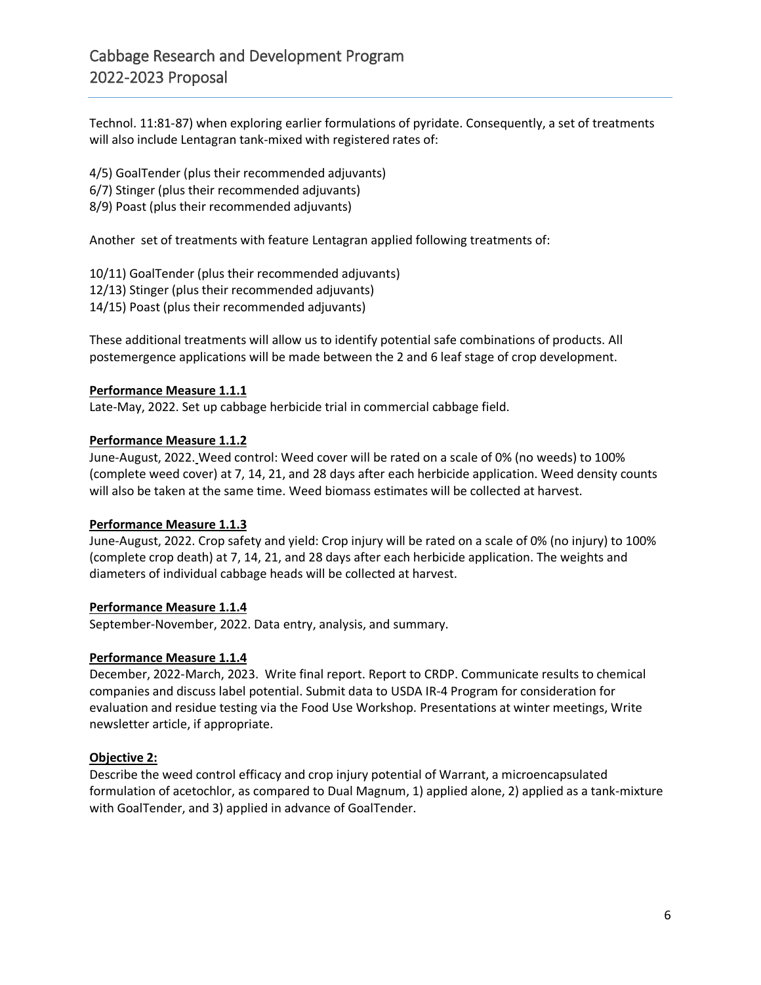Technol. 11:81-87) when exploring earlier formulations of pyridate. Consequently, a set of treatments will also include Lentagran tank-mixed with registered rates of:

4/5) GoalTender (plus their recommended adjuvants) 6/7) Stinger (plus their recommended adjuvants) 8/9) Poast (plus their recommended adjuvants)

Another set of treatments with feature Lentagran applied following treatments of:

10/11) GoalTender (plus their recommended adjuvants) 12/13) Stinger (plus their recommended adjuvants) 14/15) Poast (plus their recommended adjuvants)

These additional treatments will allow us to identify potential safe combinations of products. All postemergence applications will be made between the 2 and 6 leaf stage of crop development.

## **Performance Measure 1.1.1**

Late-May, 2022. Set up cabbage herbicide trial in commercial cabbage field.

## **Performance Measure 1.1.2**

June-August, 2022. Weed control: Weed cover will be rated on a scale of 0% (no weeds) to 100% (complete weed cover) at 7, 14, 21, and 28 days after each herbicide application. Weed density counts will also be taken at the same time. Weed biomass estimates will be collected at harvest.

#### **Performance Measure 1.1.3**

June-August, 2022. Crop safety and yield: Crop injury will be rated on a scale of 0% (no injury) to 100% (complete crop death) at 7, 14, 21, and 28 days after each herbicide application. The weights and diameters of individual cabbage heads will be collected at harvest.

#### **Performance Measure 1.1.4**

September-November, 2022. Data entry, analysis, and summary.

#### **Performance Measure 1.1.4**

December, 2022-March, 2023. Write final report. Report to CRDP. Communicate results to chemical companies and discuss label potential. Submit data to USDA IR-4 Program for consideration for evaluation and residue testing via the Food Use Workshop. Presentations at winter meetings, Write newsletter article, if appropriate.

# **Objective 2:**

Describe the weed control efficacy and crop injury potential of Warrant, a microencapsulated formulation of acetochlor, as compared to Dual Magnum, 1) applied alone, 2) applied as a tank-mixture with GoalTender, and 3) applied in advance of GoalTender.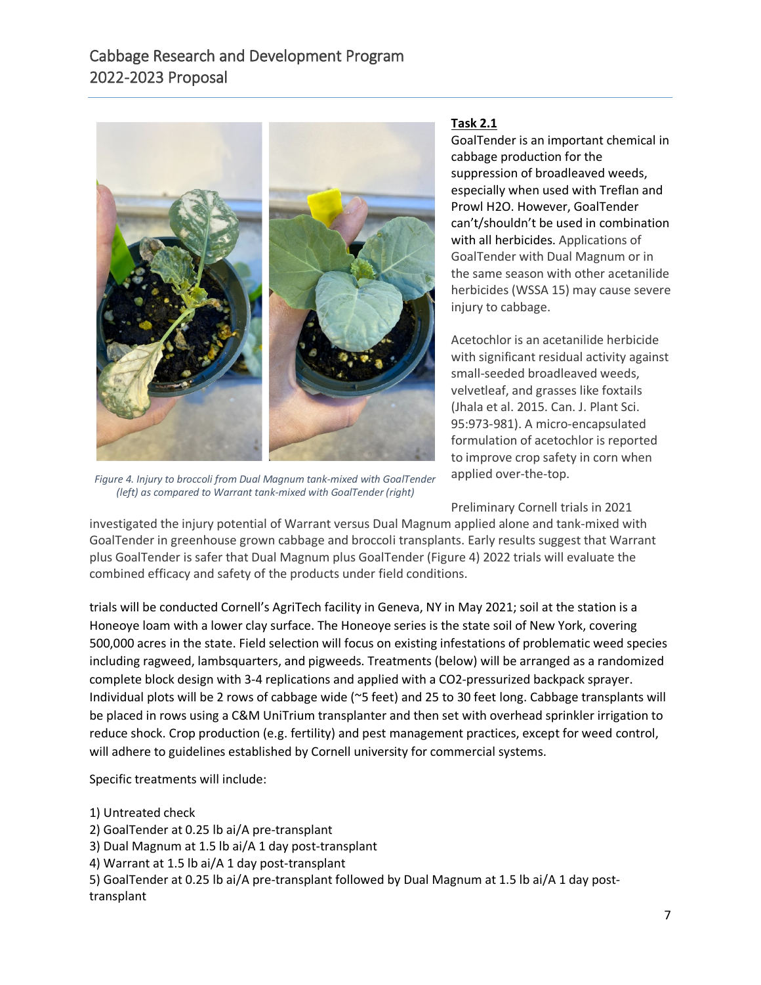

*Figure 4. Injury to broccoli from Dual Magnum tank-mixed with GoalTender (left) as compared to Warrant tank-mixed with GoalTender (right)*

# **Task 2.1**

GoalTender is an important chemical in cabbage production for the suppression of broadleaved weeds, especially when used with Treflan and Prowl H2O. However, GoalTender can't/shouldn't be used in combination with all herbicides. Applications of GoalTender with Dual Magnum or in the same season with other acetanilide herbicides (WSSA 15) may cause severe injury to cabbage.

Acetochlor is an acetanilide herbicide with significant residual activity against small-seeded broadleaved weeds, velvetleaf, and grasses like foxtails (Jhala et al. 2015. Can. J. Plant Sci. 95:973-981). A micro-encapsulated formulation of acetochlor is reported to improve crop safety in corn when applied over-the-top.

Preliminary Cornell trials in 2021

investigated the injury potential of Warrant versus Dual Magnum applied alone and tank-mixed with GoalTender in greenhouse grown cabbage and broccoli transplants. Early results suggest that Warrant plus GoalTender is safer that Dual Magnum plus GoalTender (Figure 4) 2022 trials will evaluate the combined efficacy and safety of the products under field conditions.

trials will be conducted Cornell's AgriTech facility in Geneva, NY in May 2021; soil at the station is a Honeoye loam with a lower clay surface. The Honeoye series is the state soil of New York, covering 500,000 acres in the state. Field selection will focus on existing infestations of problematic weed species including ragweed, lambsquarters, and pigweeds. Treatments (below) will be arranged as a randomized complete block design with 3-4 replications and applied with a CO2-pressurized backpack sprayer. Individual plots will be 2 rows of cabbage wide (~5 feet) and 25 to 30 feet long. Cabbage transplants will be placed in rows using a C&M UniTrium transplanter and then set with overhead sprinkler irrigation to reduce shock. Crop production (e.g. fertility) and pest management practices, except for weed control, will adhere to guidelines established by Cornell university for commercial systems.

Specific treatments will include:

- 1) Untreated check
- 2) GoalTender at 0.25 lb ai/A pre-transplant
- 3) Dual Magnum at 1.5 lb ai/A 1 day post-transplant
- 4) Warrant at 1.5 lb ai/A 1 day post-transplant

5) GoalTender at 0.25 lb ai/A pre-transplant followed by Dual Magnum at 1.5 lb ai/A 1 day posttransplant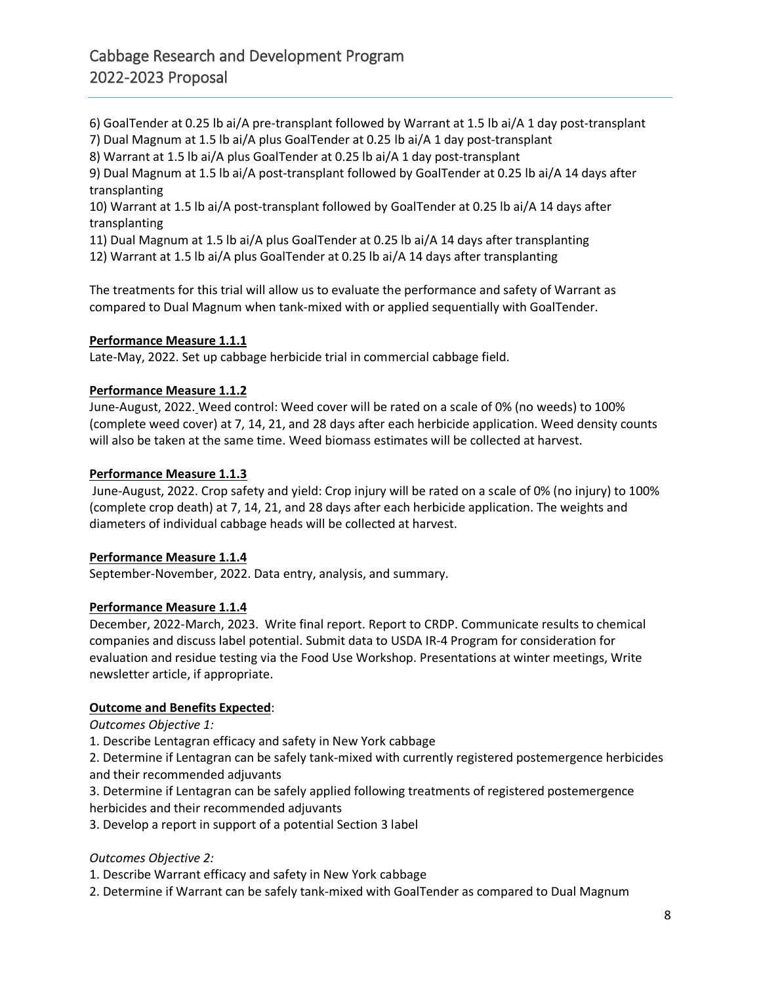6) GoalTender at 0.25 lb ai/A pre-transplant followed by Warrant at 1.5 lb ai/A 1 day post-transplant

7) Dual Magnum at 1.5 lb ai/A plus GoalTender at 0.25 lb ai/A 1 day post-transplant

8) Warrant at 1.5 lb ai/A plus GoalTender at 0.25 lb ai/A 1 day post-transplant

9) Dual Magnum at 1.5 lb ai/A post-transplant followed by GoalTender at 0.25 lb ai/A 14 days after transplanting

10) Warrant at 1.5 lb ai/A post-transplant followed by GoalTender at 0.25 lb ai/A 14 days after transplanting

11) Dual Magnum at 1.5 lb ai/A plus GoalTender at 0.25 lb ai/A 14 days after transplanting 12) Warrant at 1.5 lb ai/A plus GoalTender at 0.25 lb ai/A 14 days after transplanting

The treatments for this trial will allow us to evaluate the performance and safety of Warrant as compared to Dual Magnum when tank-mixed with or applied sequentially with GoalTender.

# **Performance Measure 1.1.1**

Late-May, 2022. Set up cabbage herbicide trial in commercial cabbage field.

## **Performance Measure 1.1.2**

June-August, 2022. Weed control: Weed cover will be rated on a scale of 0% (no weeds) to 100% (complete weed cover) at 7, 14, 21, and 28 days after each herbicide application. Weed density counts will also be taken at the same time. Weed biomass estimates will be collected at harvest.

## **Performance Measure 1.1.3**

June-August, 2022. Crop safety and yield: Crop injury will be rated on a scale of 0% (no injury) to 100% (complete crop death) at 7, 14, 21, and 28 days after each herbicide application. The weights and diameters of individual cabbage heads will be collected at harvest.

# **Performance Measure 1.1.4**

September-November, 2022. Data entry, analysis, and summary.

# **Performance Measure 1.1.4**

December, 2022-March, 2023. Write final report. Report to CRDP. Communicate results to chemical companies and discuss label potential. Submit data to USDA IR-4 Program for consideration for evaluation and residue testing via the Food Use Workshop. Presentations at winter meetings, Write newsletter article, if appropriate.

# **Outcome and Benefits Expected**:

*Outcomes Objective 1:* 

1. Describe Lentagran efficacy and safety in New York cabbage

2. Determine if Lentagran can be safely tank-mixed with currently registered postemergence herbicides and their recommended adjuvants

3. Determine if Lentagran can be safely applied following treatments of registered postemergence herbicides and their recommended adjuvants

3. Develop a report in support of a potential Section 3 label

# *Outcomes Objective 2:*

1. Describe Warrant efficacy and safety in New York cabbage

2. Determine if Warrant can be safely tank-mixed with GoalTender as compared to Dual Magnum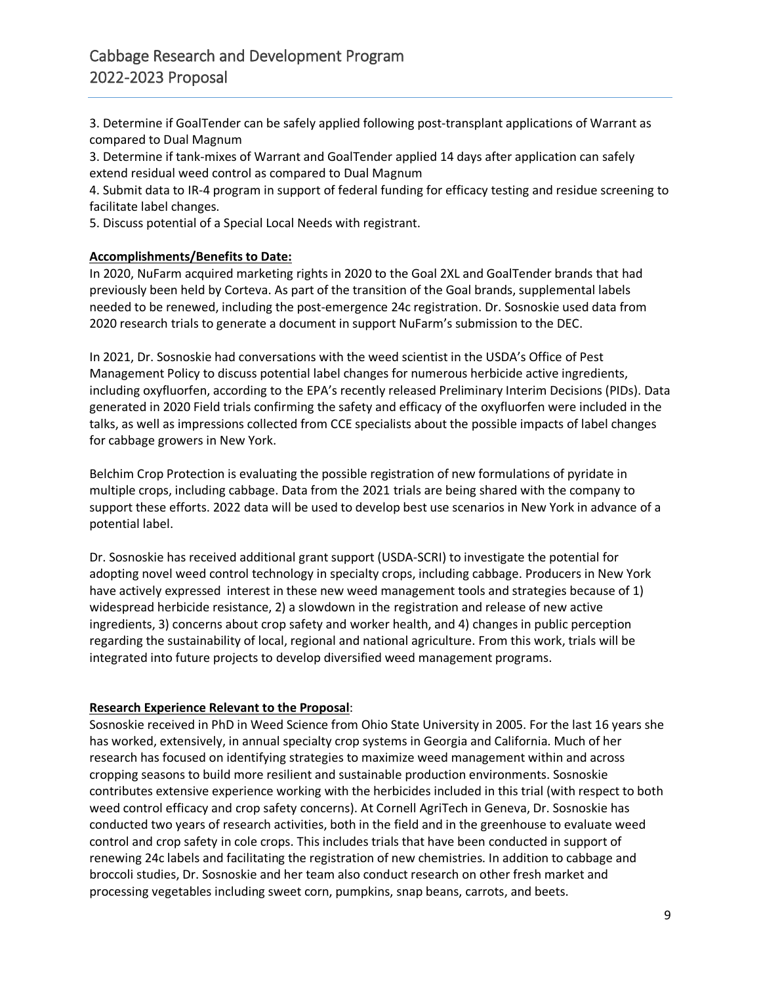3. Determine if GoalTender can be safely applied following post-transplant applications of Warrant as compared to Dual Magnum

3. Determine if tank-mixes of Warrant and GoalTender applied 14 days after application can safely extend residual weed control as compared to Dual Magnum

4. Submit data to IR-4 program in support of federal funding for efficacy testing and residue screening to facilitate label changes.

5. Discuss potential of a Special Local Needs with registrant.

## **Accomplishments/Benefits to Date:**

In 2020, NuFarm acquired marketing rights in 2020 to the Goal 2XL and GoalTender brands that had previously been held by Corteva. As part of the transition of the Goal brands, supplemental labels needed to be renewed, including the post-emergence 24c registration. Dr. Sosnoskie used data from 2020 research trials to generate a document in support NuFarm's submission to the DEC.

In 2021, Dr. Sosnoskie had conversations with the weed scientist in the USDA's Office of Pest Management Policy to discuss potential label changes for numerous herbicide active ingredients, including oxyfluorfen, according to the EPA's recently released Preliminary Interim Decisions (PIDs). Data generated in 2020 Field trials confirming the safety and efficacy of the oxyfluorfen were included in the talks, as well as impressions collected from CCE specialists about the possible impacts of label changes for cabbage growers in New York.

Belchim Crop Protection is evaluating the possible registration of new formulations of pyridate in multiple crops, including cabbage. Data from the 2021 trials are being shared with the company to support these efforts. 2022 data will be used to develop best use scenarios in New York in advance of a potential label.

Dr. Sosnoskie has received additional grant support (USDA-SCRI) to investigate the potential for adopting novel weed control technology in specialty crops, including cabbage. Producers in New York have actively expressed interest in these new weed management tools and strategies because of 1) widespread herbicide resistance, 2) a slowdown in the registration and release of new active ingredients, 3) concerns about crop safety and worker health, and 4) changes in public perception regarding the sustainability of local, regional and national agriculture. From this work, trials will be integrated into future projects to develop diversified weed management programs.

#### **Research Experience Relevant to the Proposal**:

Sosnoskie received in PhD in Weed Science from Ohio State University in 2005. For the last 16 years she has worked, extensively, in annual specialty crop systems in Georgia and California. Much of her research has focused on identifying strategies to maximize weed management within and across cropping seasons to build more resilient and sustainable production environments. Sosnoskie contributes extensive experience working with the herbicides included in this trial (with respect to both weed control efficacy and crop safety concerns). At Cornell AgriTech in Geneva, Dr. Sosnoskie has conducted two years of research activities, both in the field and in the greenhouse to evaluate weed control and crop safety in cole crops. This includes trials that have been conducted in support of renewing 24c labels and facilitating the registration of new chemistries. In addition to cabbage and broccoli studies, Dr. Sosnoskie and her team also conduct research on other fresh market and processing vegetables including sweet corn, pumpkins, snap beans, carrots, and beets.